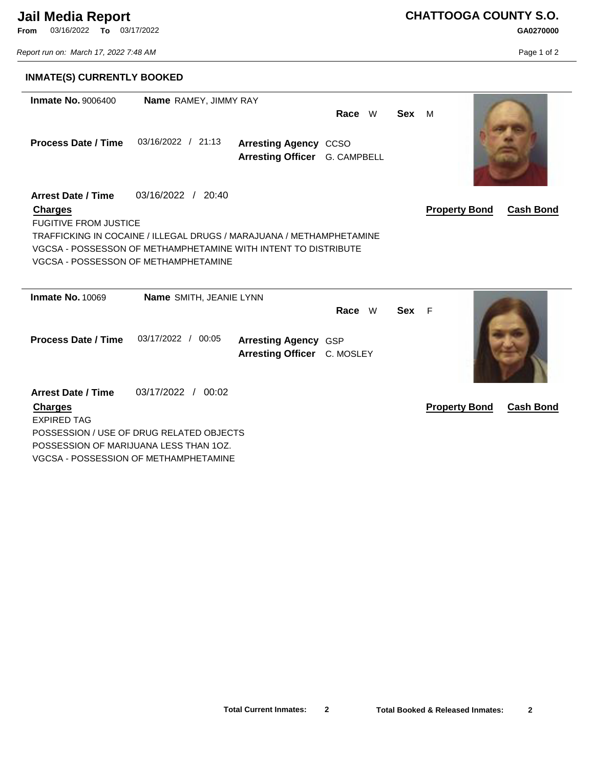## **Jail Media Report**

**From** 03/16/2022 **To** 03/17/2022

*Report run on: March 17, 2022 7:48 AM*

**CHATTOOGA COUNTY S.O. GA0270000**

Page 1 of 2

| <b>INMATE(S) CURRENTLY BOOKED</b>                                           |                                                                                                                                                                              |                                                               |        |       |                                          |
|-----------------------------------------------------------------------------|------------------------------------------------------------------------------------------------------------------------------------------------------------------------------|---------------------------------------------------------------|--------|-------|------------------------------------------|
| <b>Inmate No. 9006400</b>                                                   | Name RAMEY, JIMMY RAY                                                                                                                                                        |                                                               | Race W | Sex M |                                          |
| <b>Process Date / Time</b>                                                  | 03/16/2022 / 21:13                                                                                                                                                           | <b>Arresting Agency CCSO</b><br>Arresting Officer G. CAMPBELL |        |       |                                          |
| <b>Arrest Date / Time</b><br><b>Charges</b><br><b>FUGITIVE FROM JUSTICE</b> | 03/16/2022 / 20:40                                                                                                                                                           |                                                               |        |       | <b>Property Bond</b><br><b>Cash Bond</b> |
|                                                                             | TRAFFICKING IN COCAINE / ILLEGAL DRUGS / MARAJUANA / METHAMPHETAMINE<br>VGCSA-POSSESSON OF METHAMPHETAMINE WITH INTENT TO DISTRIBUTE<br>VGCSA - POSSESSON OF METHAMPHETAMINE |                                                               |        |       |                                          |
| <b>Inmate No. 10069</b>                                                     | Name SMITH, JEANIE LYNN                                                                                                                                                      |                                                               |        |       |                                          |
| <b>Process Date / Time</b>                                                  | 03/17/2022 / 00:05                                                                                                                                                           | <b>Arresting Agency GSP</b><br>Arresting Officer C. MOSLEY    | Race W | Sex F |                                          |
| <b>Arrest Date / Time</b><br><b>Charges</b><br><b>EXPIRED TAG</b>           | 03/17/2022 / 00:02                                                                                                                                                           |                                                               |        |       | <b>Property Bond</b><br><b>Cash Bond</b> |
|                                                                             | POSSESSION / USE OF DRUG RELATED OBJECTS                                                                                                                                     |                                                               |        |       |                                          |
|                                                                             | POSSESSION OF MARIJUANA LESS THAN 10Z.                                                                                                                                       |                                                               |        |       |                                          |
|                                                                             | VGCSA - POSSESSION OF METHAMPHETAMINE                                                                                                                                        |                                                               |        |       |                                          |